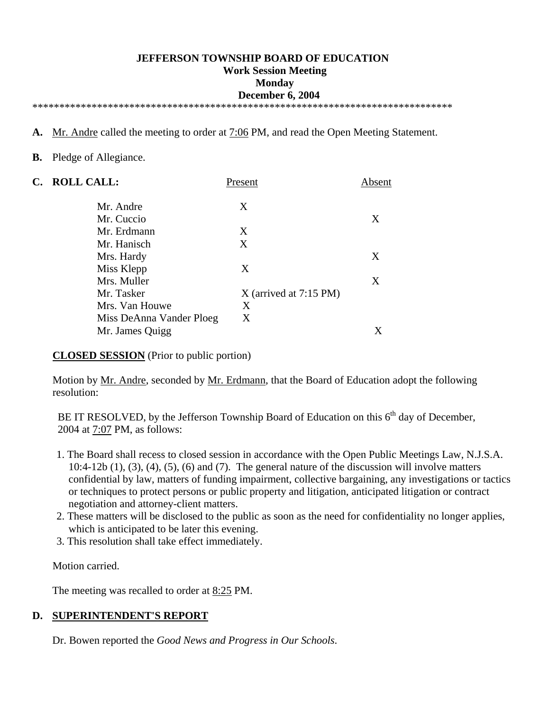#### **JEFFERSON TOWNSHIP BOARD OF EDUCATION Work Session Meeting Monday December 6, 2004**

\*\*\*\*\*\*\*\*\*\*\*\*\*\*\*\*\*\*\*\*\*\*\*\*\*\*\*\*\*\*\*\*\*\*\*\*\*\*\*\*\*\*\*\*\*\*\*\*\*\*\*\*\*\*\*\*\*\*\*\*\*\*\*\*\*\*\*\*\*\*\*\*\*\*\*\*\*\*

- **A.** Mr. Andre called the meeting to order at 7:06 PM, and read the Open Meeting Statement.
- **B.** Pledge of Allegiance.

| C. | <b>ROLL CALL:</b>        | Present                  | Absent |
|----|--------------------------|--------------------------|--------|
|    | Mr. Andre                | X                        |        |
|    | Mr. Cuccio               |                          | X      |
|    | Mr. Erdmann              | X                        |        |
|    | Mr. Hanisch              | X                        |        |
|    | Mrs. Hardy               |                          | X      |
|    | Miss Klepp               | X                        |        |
|    | Mrs. Muller              |                          | X      |
|    | Mr. Tasker               | $X$ (arrived at 7:15 PM) |        |
|    | Mrs. Van Houwe           | Χ                        |        |
|    | Miss DeAnna Vander Ploeg | X                        |        |
|    | Mr. James Quigg          |                          |        |

**CLOSED SESSION** (Prior to public portion)

Motion by <u>Mr. Andre</u>, seconded by <u>Mr. Erdmann</u>, that the Board of Education adopt the following resolution:

BE IT RESOLVED, by the Jefferson Township Board of Education on this  $6<sup>th</sup>$  day of December. 2004 at 7:07 PM, as follows:

- 1. The Board shall recess to closed session in accordance with the Open Public Meetings Law, N.J.S.A.  $10:4-12b(1)$ ,  $(3)$ ,  $(4)$ ,  $(5)$ ,  $(6)$  and  $(7)$ . The general nature of the discussion will involve matters confidential by law, matters of funding impairment, collective bargaining, any investigations or tactics or techniques to protect persons or public property and litigation, anticipated litigation or contract negotiation and attorney-client matters.
- 2. These matters will be disclosed to the public as soon as the need for confidentiality no longer applies, which is anticipated to be later this evening.
- 3. This resolution shall take effect immediately.

Motion carried.

The meeting was recalled to order at <u>8:25</u> PM.

#### **D. SUPERINTENDENT'S REPORT**

Dr. Bowen reported the *Good News and Progress in Our Schools*.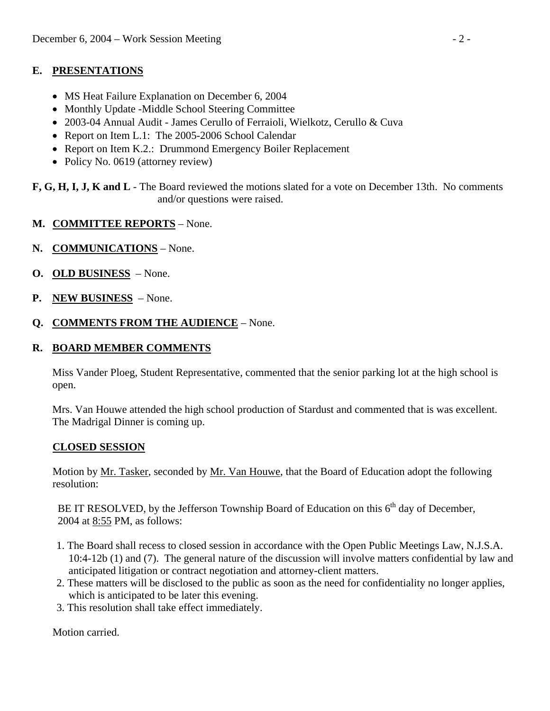### **E. PRESENTATIONS**

- MS Heat Failure Explanation on December 6, 2004
- Monthly Update -Middle School Steering Committee
- 2003-04 Annual Audit James Cerullo of Ferraioli, Wielkotz, Cerullo & Cuva
- Report on Item L.1: The 2005-2006 School Calendar
- Report on Item K.2.: Drummond Emergency Boiler Replacement
- Policy No. 0619 (attorney review)
- **F, G, H, I, J, K and L**  The Board reviewed the motions slated for a vote on December 13th. No comments and/or questions were raised.
- **M. COMMITTEE REPORTS** None.
- **N. COMMUNICATIONS** None.
- **O. OLD BUSINESS** None.
- **P. NEW BUSINESS** None.
- **Q. COMMENTS FROM THE AUDIENCE** None.

# **R. BOARD MEMBER COMMENTS**

 Miss Vander Ploeg, Student Representative, commented that the senior parking lot at the high school is open.

 Mrs. Van Houwe attended the high school production of Stardust and commented that is was excellent. The Madrigal Dinner is coming up.

# **CLOSED SESSION**

Motion by <u>Mr. Tasker</u>, seconded by <u>Mr. Van Houwe</u>, that the Board of Education adopt the following resolution:

BE IT RESOLVED, by the Jefferson Township Board of Education on this  $6<sup>th</sup>$  day of December, 2004 at 8:55 PM, as follows:

- 1. The Board shall recess to closed session in accordance with the Open Public Meetings Law, N.J.S.A. 10:4-12b (1) and (7). The general nature of the discussion will involve matters confidential by law and anticipated litigation or contract negotiation and attorney-client matters.
- 2. These matters will be disclosed to the public as soon as the need for confidentiality no longer applies, which is anticipated to be later this evening.
- 3. This resolution shall take effect immediately.

Motion carried.